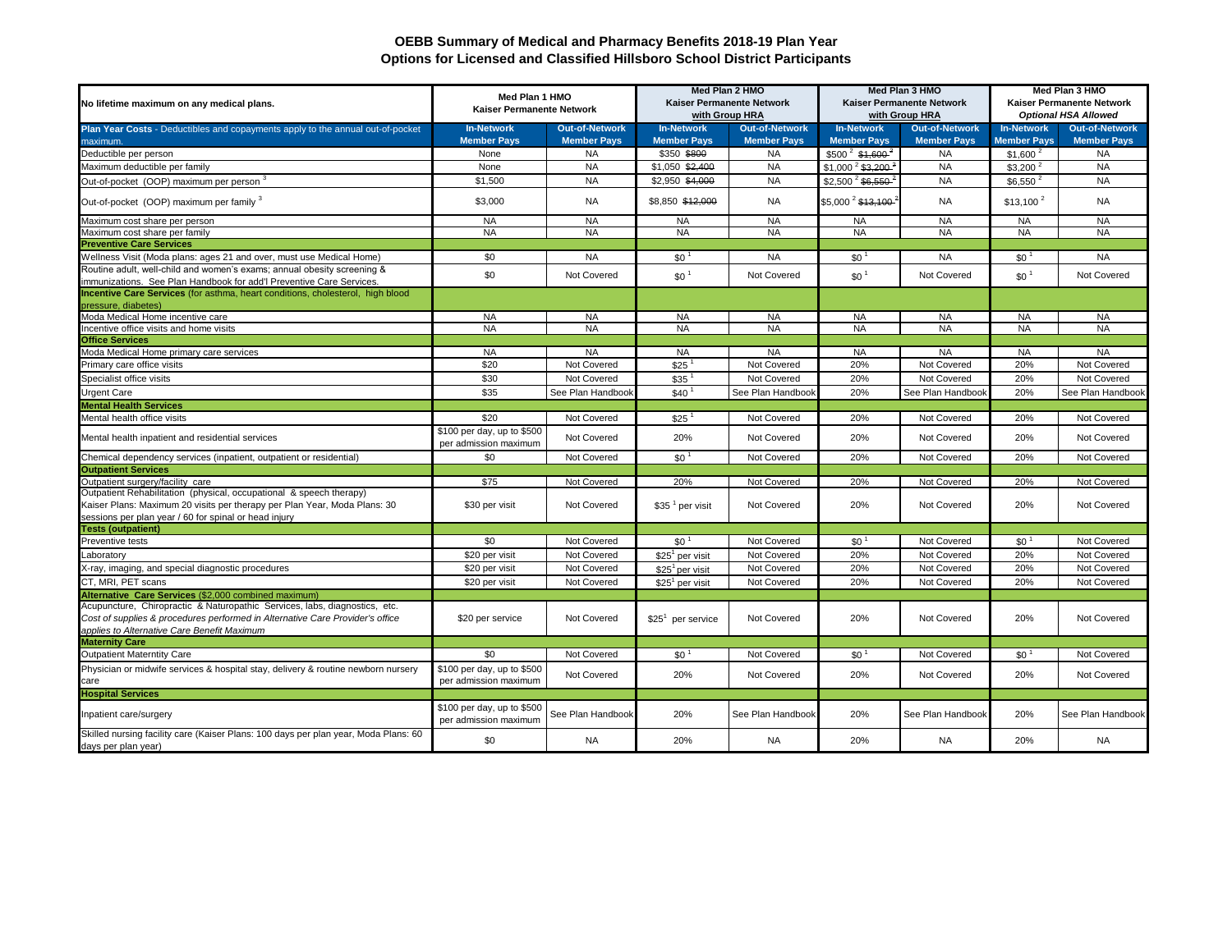## **OEBB Summary of Medical and Pharmacy Benefits 2018-19 Plan Year Options for Licensed and Classified Hillsboro School District Participants**

| No lifetime maximum on any medical plans.                                                                                                                                                                  | Med Plan 1 HMO<br>Kaiser Permanente Network         |                                 | Med Plan 2 HMO<br>Kaiser Permanente Network<br>with Group HRA |                                 | Med Plan 3 HMO<br>Kaiser Permanente Network<br>with Group HRA |                                 | Med Plan 3 HMO<br>Kaiser Permanente Network<br><b>Optional HSA Allowed</b> |                                 |
|------------------------------------------------------------------------------------------------------------------------------------------------------------------------------------------------------------|-----------------------------------------------------|---------------------------------|---------------------------------------------------------------|---------------------------------|---------------------------------------------------------------|---------------------------------|----------------------------------------------------------------------------|---------------------------------|
| Plan Year Costs - Deductibles and copayments apply to the annual out-of-pocket                                                                                                                             | <b>In-Network</b>                                   | <b>Out-of-Network</b>           | <b>In-Network</b>                                             | <b>Out-of-Network</b>           | <b>In-Network</b>                                             | <b>Out-of-Network</b>           | <b>In-Network</b>                                                          | <b>Out-of-Network</b>           |
| maximum.                                                                                                                                                                                                   | <b>Member Pays</b><br>None                          | <b>Member Pays</b><br><b>NA</b> | <b>Member Pays</b><br>\$350 \$800                             | <b>Member Pays</b><br><b>NA</b> | <b>Member Pays</b>                                            | <b>Member Pays</b><br><b>NA</b> | <b>Member Pays</b>                                                         | <b>Member Pays</b><br><b>NA</b> |
| Deductible per person                                                                                                                                                                                      |                                                     | <b>NA</b>                       |                                                               | <b>NA</b>                       | $$500^2$ \$1,600 <sup>2</sup>                                 |                                 | $$1,600^2$                                                                 |                                 |
| Maximum deductible per family                                                                                                                                                                              | None                                                | <b>NA</b>                       | \$1,050 \$2,400                                               | <b>NA</b>                       | $$1,000^2$ \$3,200 <sup>-6</sup>                              | <b>NA</b>                       | \$3.200 <sup>2</sup>                                                       | <b>NA</b>                       |
| Out-of-pocket (OOP) maximum per person                                                                                                                                                                     | \$1,500                                             |                                 | \$2,950 \$4,000                                               |                                 | $$2,500^2$ \$6,550 <sup>-1</sup>                              | <b>NA</b>                       | \$6,550                                                                    | <b>NA</b>                       |
| Out-of-pocket (OOP) maximum per family 3                                                                                                                                                                   | \$3,000                                             | <b>NA</b>                       | \$8,850 \$42,000                                              | <b>NA</b>                       | \$5,000 <sup>2</sup> \$13,100                                 | <b>NA</b>                       | $$13,100^2$                                                                | <b>NA</b>                       |
| Maximum cost share per person                                                                                                                                                                              | <b>NA</b>                                           | <b>NA</b>                       | <b>NA</b>                                                     | <b>NA</b>                       | <b>NA</b>                                                     | <b>NA</b>                       | <b>NA</b>                                                                  | <b>NA</b>                       |
| Maximum cost share per family                                                                                                                                                                              | <b>NA</b>                                           | <b>NA</b>                       | <b>NA</b>                                                     | <b>NA</b>                       | <b>NA</b>                                                     | <b>NA</b>                       | <b>NA</b>                                                                  | <b>NA</b>                       |
| <b>Preventive Care Services</b>                                                                                                                                                                            |                                                     |                                 |                                                               |                                 |                                                               |                                 |                                                                            |                                 |
| Wellness Visit (Moda plans: ages 21 and over, must use Medical Home)                                                                                                                                       | \$0                                                 | <b>NA</b>                       | \$0 <sup>1</sup>                                              | <b>NA</b>                       | \$0 <sup>1</sup>                                              | <b>NA</b>                       | \$0                                                                        | <b>NA</b>                       |
| Routine adult, well-child and women's exams; annual obesity screening &<br>immunizations. See Plan Handbook for add'l Preventive Care Services.                                                            | \$0                                                 | Not Covered                     | \$0 <sup>1</sup>                                              | Not Covered                     | \$0 <sup>1</sup>                                              | Not Covered                     | \$0 <sup>1</sup>                                                           | Not Covered                     |
| Incentive Care Services (for asthma, heart conditions, cholesterol, high blood<br>ressure, diabetes)                                                                                                       |                                                     |                                 |                                                               |                                 |                                                               |                                 |                                                                            |                                 |
| Moda Medical Home incentive care                                                                                                                                                                           | <b>NA</b>                                           | <b>NA</b>                       | <b>NA</b>                                                     | <b>NA</b>                       | <b>NA</b>                                                     | <b>NA</b>                       | <b>NA</b>                                                                  | <b>NA</b>                       |
| ncentive office visits and home visits                                                                                                                                                                     | <b>NA</b>                                           | <b>NA</b>                       | <b>NA</b>                                                     | <b>NA</b>                       | <b>NA</b>                                                     | <b>NA</b>                       | <b>NA</b>                                                                  | <b>NA</b>                       |
| <b>Office Services</b>                                                                                                                                                                                     |                                                     |                                 |                                                               |                                 |                                                               |                                 |                                                                            |                                 |
| Moda Medical Home primary care services                                                                                                                                                                    | <b>NA</b>                                           | <b>NA</b>                       | <b>NA</b>                                                     | <b>NA</b>                       | <b>NA</b>                                                     | <b>NA</b>                       | <b>NA</b>                                                                  | <b>NA</b>                       |
| Primary care office visits                                                                                                                                                                                 | \$20                                                | Not Covered                     | \$25                                                          | Not Covered                     | 20%                                                           | Not Covered                     | 20%                                                                        | Not Covered                     |
| Specialist office visits                                                                                                                                                                                   | \$30                                                | Not Covered                     | \$35                                                          | Not Covered                     | 20%                                                           | Not Covered                     | 20%                                                                        | Not Covered                     |
| Jrgent Care                                                                                                                                                                                                | \$35                                                | See Plan Handboo                | \$40 <sup>1</sup>                                             | See Plan Handbool               | 20%                                                           | See Plan Handbool               | 20%                                                                        | See Plan Handbook               |
| <b>Mental Health Services</b>                                                                                                                                                                              |                                                     |                                 |                                                               |                                 |                                                               |                                 |                                                                            |                                 |
| Mental health office visits                                                                                                                                                                                | \$20                                                | Not Covered                     | $$25^1$                                                       | Not Covered                     | 20%                                                           | Not Covered                     | 20%                                                                        | Not Covered                     |
| Mental health inpatient and residential services                                                                                                                                                           | \$100 per day, up to \$500<br>per admission maximum | Not Covered                     | 20%                                                           | Not Covered                     | 20%                                                           | Not Covered                     | 20%                                                                        | Not Covered                     |
| Chemical dependency services (inpatient, outpatient or residential)                                                                                                                                        | \$0                                                 | Not Covered                     | \$0 <sup>1</sup>                                              | Not Covered                     | 20%                                                           | Not Covered                     | 20%                                                                        | Not Covered                     |
| <b>Outpatient Services</b>                                                                                                                                                                                 |                                                     |                                 |                                                               |                                 |                                                               |                                 |                                                                            |                                 |
| Outpatient surgery/facility care                                                                                                                                                                           | \$75                                                | Not Covered                     | 20%                                                           | Not Covered                     | 20%                                                           | Not Covered                     | 20%                                                                        | Not Covered                     |
| Outpatient Rehabilitation (physical, occupational & speech therapy)<br>Kaiser Plans: Maximum 20 visits per therapy per Plan Year, Moda Plans: 30<br>sessions per plan year / 60 for spinal or head injury  | \$30 per visit                                      | Not Covered                     | $$351$ per visit                                              | Not Covered                     | 20%                                                           | Not Covered                     | 20%                                                                        | Not Covered                     |
| <b>Tests (outpatient)</b>                                                                                                                                                                                  |                                                     |                                 |                                                               |                                 |                                                               |                                 |                                                                            |                                 |
| Preventive tests                                                                                                                                                                                           | \$0                                                 | Not Covered                     | \$0 <sup>1</sup>                                              | Not Covered                     | \$0 <sup>1</sup>                                              | Not Covered                     | $$0^{\circ}$                                                               | Not Covered                     |
| aboratory.                                                                                                                                                                                                 | \$20 per visit                                      | Not Covered                     | $$251$ per visit                                              | Not Covered                     | 20%                                                           | Not Covered                     | 20%                                                                        | Not Covered                     |
| X-ray, imaging, and special diagnostic procedures                                                                                                                                                          | \$20 per visit                                      | Not Covered                     | $$251$ per visit                                              | Not Covered                     | 20%                                                           | Not Covered                     | 20%                                                                        | Not Covered                     |
| CT, MRI, PET scans                                                                                                                                                                                         | \$20 per visit                                      | Not Covered                     | $$251$ per visit                                              | Not Covered                     | 20%                                                           | Not Covered                     | 20%                                                                        | Not Covered                     |
| Alternative Care Services (\$2,000 combined maximum)                                                                                                                                                       |                                                     |                                 |                                                               |                                 |                                                               |                                 |                                                                            |                                 |
| Acupuncture, Chiropractic & Naturopathic Services, labs, diagnostics, etc.<br>Cost of supplies & procedures performed in Alternative Care Provider's office<br>applies to Alternative Care Benefit Maximum | \$20 per service                                    | Not Covered                     | $$251$ per service                                            | Not Covered                     | 20%                                                           | Not Covered                     | 20%                                                                        | Not Covered                     |
| <b>Maternity Care</b>                                                                                                                                                                                      |                                                     |                                 |                                                               |                                 |                                                               |                                 |                                                                            |                                 |
| <b>Outpatient Materntity Care</b>                                                                                                                                                                          | \$0                                                 | Not Covered                     | \$0 <sup>1</sup>                                              | Not Covered                     | \$0 <sup>1</sup>                                              | Not Covered                     | \$0 <sup>1</sup>                                                           | Not Covered                     |
| Physician or midwife services & hospital stay, delivery & routine newborn nursery<br>care                                                                                                                  | \$100 per day, up to \$500<br>per admission maximum | Not Covered                     | 20%                                                           | Not Covered                     | 20%                                                           | Not Covered                     | 20%                                                                        | Not Covered                     |
| <b>Hospital Services</b>                                                                                                                                                                                   |                                                     |                                 |                                                               |                                 |                                                               |                                 |                                                                            |                                 |
| Inpatient care/surgery                                                                                                                                                                                     | \$100 per day, up to \$500<br>per admission maximum | See Plan Handbook               | 20%                                                           | See Plan Handbook               | 20%                                                           | See Plan Handbook               | 20%                                                                        | See Plan Handbook               |
| Skilled nursing facility care (Kaiser Plans: 100 days per plan year, Moda Plans: 60<br>days per plan year)                                                                                                 | \$0                                                 | <b>NA</b>                       | 20%                                                           | <b>NA</b>                       | 20%                                                           | <b>NA</b>                       | 20%                                                                        | <b>NA</b>                       |